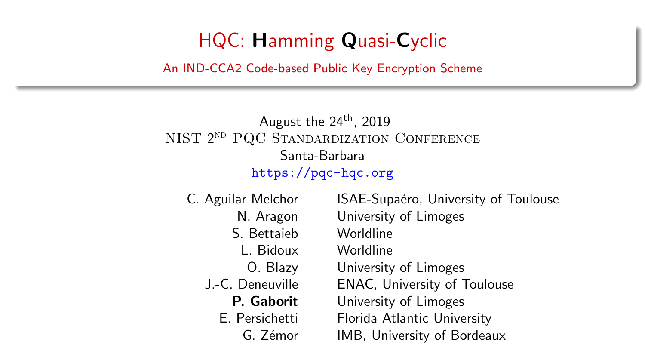## HQC: Hamming Quasi-Cyclic

<span id="page-0-0"></span>An IND-CCA2 Code-based Public Key Encryption Scheme

### August the  $24<sup>th</sup>$ , 2019 NIST 2ND PQC STANDARDIZATION CONFERENCE Santa-Barbara <https://pqc-hqc.org>

S. Bettaieb Worldline L. Bidoux Worldline

C. Aguilar Melchor ISAE-Supaéro, University of Toulouse N. Aragon University of Limoges O. Blazy University of Limoges J.-C. Deneuville ENAC, University of Toulouse P. Gaborit University of Limoges E. Persichetti Florida Atlantic University G. Zémor IMB, University of Bordeaux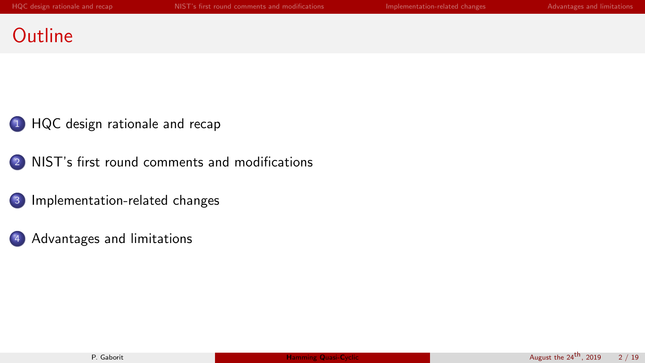## **Outline**

1 [HQC design rationale and recap](#page-2-0)

<sup>2</sup> [NIST's first round comments and modifications](#page-4-0)

<sup>3</sup> [Implementation-related changes](#page-8-0)

<sup>4</sup> [Advantages and limitations](#page-13-0)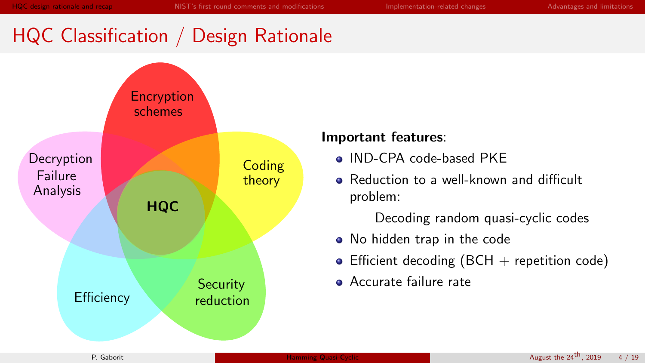# <span id="page-2-0"></span>HQC Classification / Design Rationale



### Important features:

- IND-CPA code-based PKE
- **•** Reduction to a well-known and difficult problem:

Decoding random quasi-cyclic codes

- No hidden trap in the code
- Efficient decoding  $(BCH + \text{repetition code})$
- **Accurate failure rate**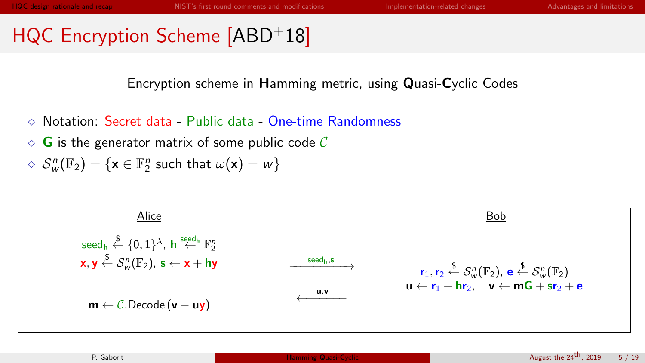# HQC Encryption Scheme [\[ABD](#page-14-0)+18]

Encryption scheme in Hamming metric, using Quasi-Cyclic Codes

- Notation: Secret data Public data One-time Randomness
- $\Diamond$  G is the generator matrix of some public code C

$$
\mathrel{\diamond} \hspace{0.25em} \mathcal{S}_{w}^{n}(\mathbb{F}_{2}) = \{ \mathbf{x} \in \mathbb{F}_{2}^{n} \hspace{0.1cm} \text{such that} \hspace{0.1cm} \omega(\mathbf{x}) = w \}
$$

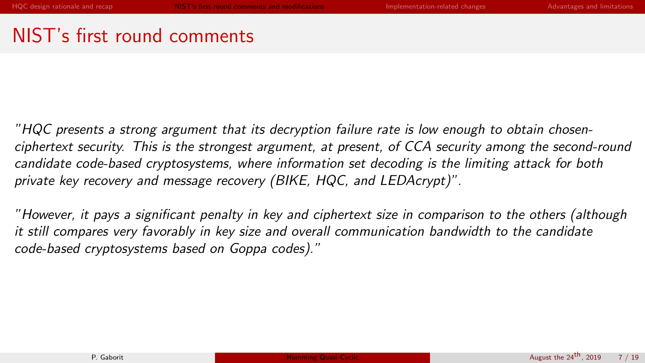## <span id="page-4-0"></span>NIST's first round comments

"HQC presents a strong argument that its decryption failure rate is low enough to obtain chosenciphertext security. This is the strongest argument, at present, of CCA security among the second-round candidate code-based cryptosystems, where information set decoding is the limiting attack for both private key recovery and message recovery (BIKE, HQC, and LEDAcrypt)".

"However, it pays a significant penalty in key and ciphertext size in comparison to the others (although it still compares very favorably in key size and overall communication bandwidth to the candidate code-based cryptosystems based on Goppa codes)."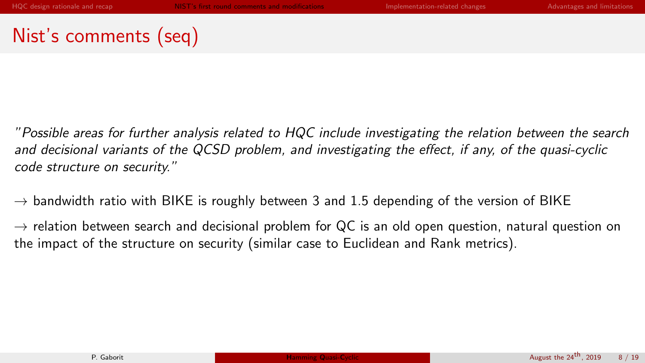# Nist's comments (seq)

"Possible areas for further analysis related to HQC include investigating the relation between the search and decisional variants of the QCSD problem, and investigating the effect, if any, of the quasi-cyclic code structure on security."

 $\rightarrow$  bandwidth ratio with BIKE is roughly between 3 and 1.5 depending of the version of BIKE

 $\rightarrow$  relation between search and decisional problem for QC is an old open question, natural question on the impact of the structure on security (similar case to Euclidean and Rank metrics).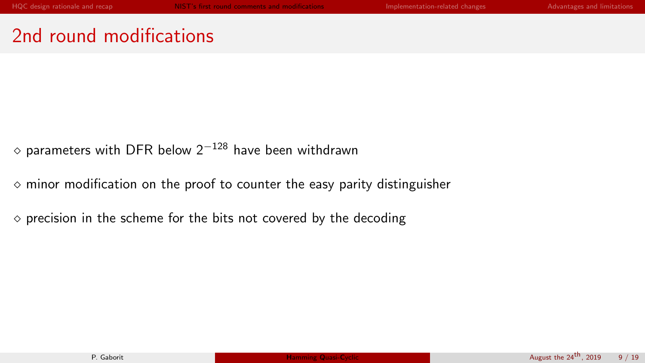## 2nd round modifications

 $\diamond$  parameters with DFR below 2<sup>−128</sup> have been withdrawn

 $\Diamond$  minor modification on the proof to counter the easy parity distinguisher

 $\circ$  precision in the scheme for the bits not covered by the decoding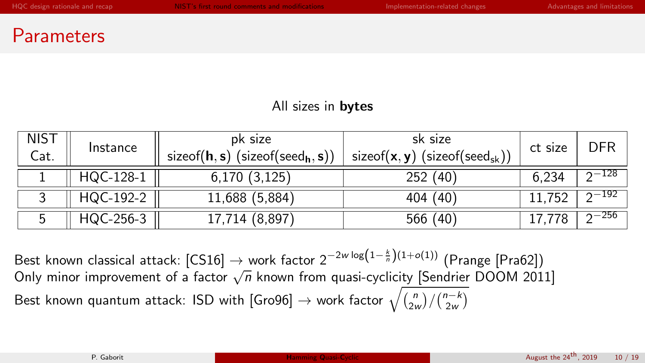### **Parameters**

### All sizes in **bytes**

| NIST<br>Cat. | Instance  | pk size<br>size of $(h, s)$ (size of $(seed_h, s)$ ) | sk size<br>sizeof( $\mathbf{x}, \mathbf{y}$ ) (sizeof(seed <sub>sk</sub> )) | ct size | DFR       |
|--------------|-----------|------------------------------------------------------|-----------------------------------------------------------------------------|---------|-----------|
|              | HQC-128-1 | 6,170(3,125)                                         | 252 (40)                                                                    | 6.234   | $2-128$   |
|              | HQC-192-2 | 11,688 (5,884)                                       | 404 (40)                                                                    | 11.752  | $2 - 192$ |
|              | HQC-256-3 | 17,714 (8,897)                                       | 566 (40)                                                                    |         | $2 - 256$ |

Best known classical attack: [\[CS16\]](#page-14-1)  $\rightarrow$  work factor 2 $^{-2w \log \left(1 - \frac{k}{n}\right) (1 + o(1))}$  (Prange [\[Pra62\]](#page-14-2))  $\frac{1}{2}$  Constructs and the contribution  $\frac{1}{2}$  work factor  $\frac{1}{2}$  and  $\frac{1}{2}$  (Finally Finally Finally Finally Finally Finally Polon (Finally Finally Polon 2011) Best known quantum attack: ISD with [\[Gro96\]](#page-14-3)  $\rightarrow$  work factor  $\sqrt{\binom{n}{2w}/\binom{n-k}{2w}}$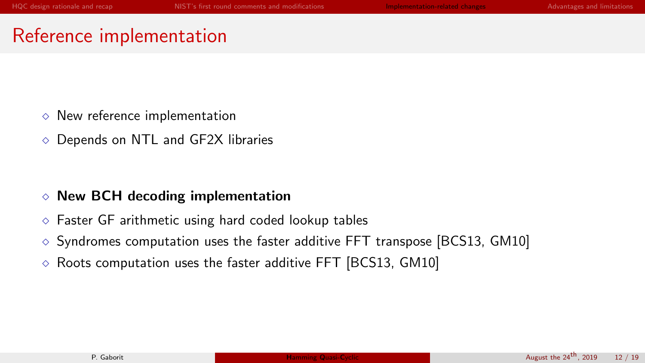### <span id="page-8-0"></span>Reference implementation

- $\Diamond$  New reference implementation
- $\Diamond$  Depends on NTL and GF2X libraries

### $\Diamond$  New BCH decoding implementation

- $\Diamond$  Faster GF arithmetic using hard coded lookup tables
- $\circ$  Syndromes computation uses the faster additive FFT transpose [\[BCS13,](#page-14-4) [GM10\]](#page-14-5)
- $\diamond$  Roots computation uses the faster additive FFT [\[BCS13,](#page-14-4) [GM10\]](#page-14-5)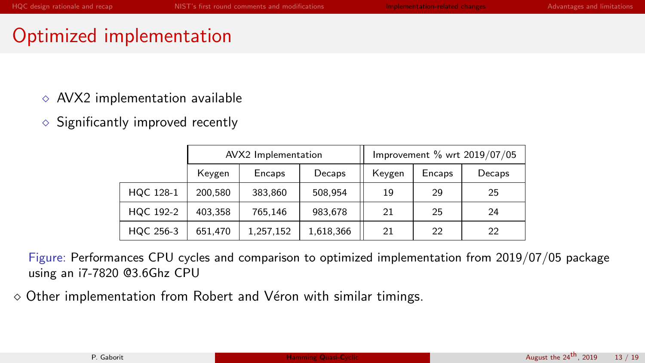### Optimized implementation

- $\Diamond$  AVX2 implementation available
- $\Diamond$  Significantly improved recently

|           |         | AVX2 Implementation |           | Improvement % wrt 2019/07/05 |        |        |
|-----------|---------|---------------------|-----------|------------------------------|--------|--------|
|           | Keygen  | Encaps              | Decaps    | Keygen                       | Encaps | Decaps |
| HQC 128-1 | 200,580 | 383,860             | 508,954   | 19                           | 29     | 25     |
| HQC 192-2 | 403,358 | 765,146             | 983,678   | 21                           | 25     | 24     |
| HQC 256-3 | 651,470 | 1,257,152           | 1,618,366 | 21                           | 22     | 22     |

Figure: Performances CPU cycles and comparison to optimized implementation from 2019/07/05 package using an i7-7820 @3.6Ghz CPU

 $\diamond$  Other implementation from Robert and Véron with similar timings.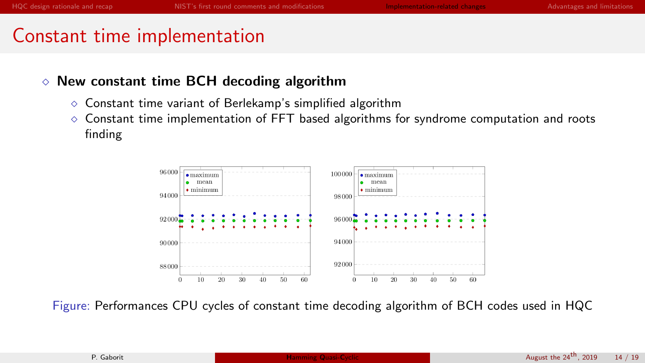## Constant time implementation

### $\Diamond$  New constant time BCH decoding algorithm

- $\circ$  Constant time variant of Berlekamp's simplified algorithm
- $\Diamond$  Constant time implementation of FFT based algorithms for syndrome computation and roots finding



Figure: Performances CPU cycles of constant time decoding algorithm of BCH codes used in HQC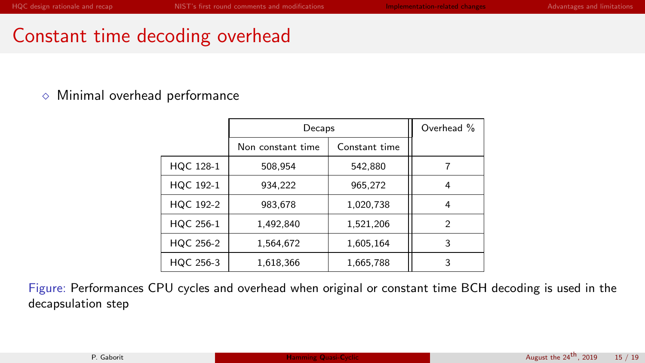### Constant time decoding overhead

### $\Diamond$  Minimal overhead performance

|           | Decaps            |               | Overhead %     |
|-----------|-------------------|---------------|----------------|
|           | Non constant time | Constant time |                |
| HQC 128-1 | 508,954           | 542,880       |                |
| HQC 192-1 | 934,222           | 965,272       | 4              |
| HQC 192-2 | 983,678           | 1,020,738     | 4              |
| HQC 256-1 | 1,492,840         | 1,521,206     | $\overline{2}$ |
| HQC 256-2 | 1,564,672         | 1.605,164     | 3              |
| HQC 256-3 | 1,618,366         | 1,665,788     | 3              |

Figure: Performances CPU cycles and overhead when original or constant time BCH decoding is used in the decapsulation step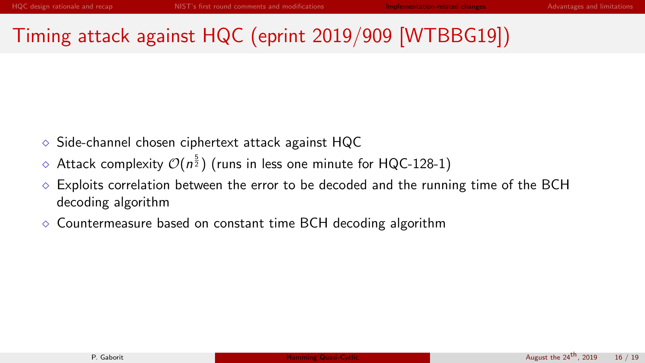# Timing attack against HQC (eprint 2019/909 [WTBBG19])

- Side-channel chosen ciphertext attack against HQC
- $\diamond$  Attack complexity  $\mathcal{O}(n^{\frac{5}{2}})$  (runs in less one minute for HQC-128-1)
- Exploits correlation between the error to be decoded and the running time of the BCH decoding algorithm
- $\Diamond$  Countermeasure based on constant time BCH decoding algorithm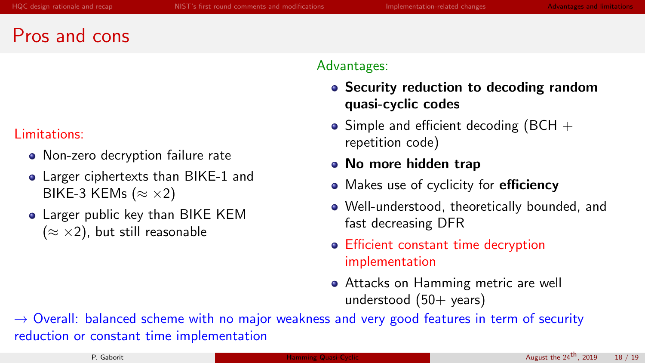### <span id="page-13-0"></span>Pros and cons

### Limitations:

- Non-zero decryption failure rate
- Larger ciphertexts than BIKE-1 and BIKE-3 KEMs ( $\approx \times 2$ )
- Larger public key than BIKE KEM  $(\approx \times 2)$ , but still reasonable

#### Advantages:

- Security reduction to decoding random quasi-cyclic codes
- Simple and efficient decoding (BCH  $+$ repetition code)
- No more hidden trap
- Makes use of cyclicity for efficiency
- Well-understood, theoretically bounded, and fast decreasing DFR
- Efficient constant time decryption implementation
- Attacks on Hamming metric are well understood  $(50+$  years)

 $\rightarrow$  Overall: balanced scheme with no major weakness and very good features in term of security reduction or constant time implementation